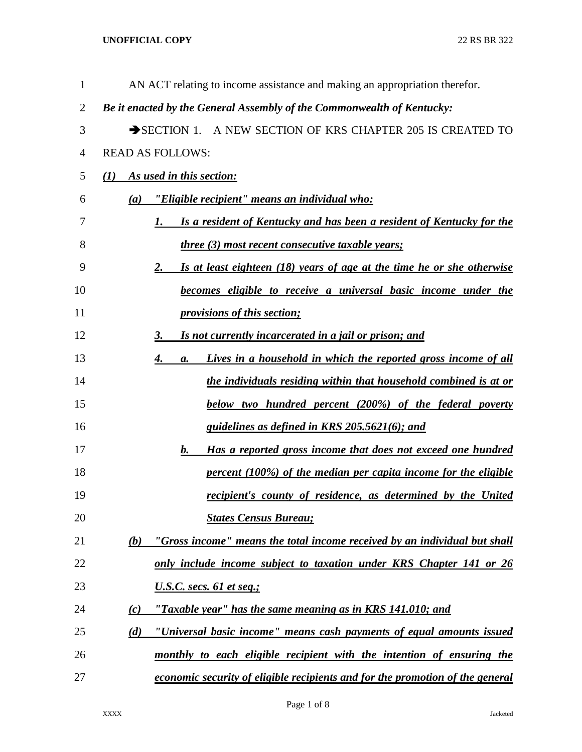| $\mathbf{1}$ | AN ACT relating to income assistance and making an appropriation therefor.         |
|--------------|------------------------------------------------------------------------------------|
| 2            | Be it enacted by the General Assembly of the Commonwealth of Kentucky:             |
| 3            | SECTION 1. A NEW SECTION OF KRS CHAPTER 205 IS CREATED TO                          |
| 4            | <b>READ AS FOLLOWS:</b>                                                            |
| 5            | As used in this section:<br>$\mathbf{U}$                                           |
| 6            | "Eligible recipient" means an individual who:<br>(a)                               |
| 7            | Is a resident of Kentucky and has been a resident of Kentucky for the<br>1.        |
| 8            | three (3) most recent consecutive taxable years;                                   |
| 9            | Is at least eighteen (18) years of age at the time he or she otherwise<br>2.       |
| 10           | <b>becomes eligible to receive a universal basic income under the</b>              |
| 11           | <i><u><b>provisions of this section;</b></u></i>                                   |
| 12           | Is not currently incarcerated in a jail or prison; and<br>3.                       |
| 13           | Lives in a household in which the reported gross income of all<br>4.<br>a.         |
| 14           | the individuals residing within that household combined is at or                   |
| 15           | <b>below</b> two hundred percent (200%) of the federal poverty                     |
| 16           | guidelines as defined in KRS 205.5621(6); and                                      |
| 17           | Has a reported gross income that does not exceed one hundred<br>b.                 |
| 18           | percent (100%) of the median per capita income for the eligible                    |
| 19           | recipient's county of residence, as determined by the United                       |
| 20           | <b>States Census Bureau;</b>                                                       |
| 21           | "Gross income" means the total income received by an individual but shall<br>(b)   |
| 22           | only include income subject to taxation under KRS Chapter 141 or 26                |
| 23           | <u>U.S.C. secs. 61 et seq.;</u>                                                    |
| 24           | "Taxable year" has the same meaning as in KRS $141.010$ ; and<br>$\left( c\right)$ |
| 25           | (d)<br>"Universal basic income" means cash payments of equal amounts issued        |
| 26           | monthly to each eligible recipient with the intention of ensuring the              |
| 27           | economic security of eligible recipients and for the promotion of the general      |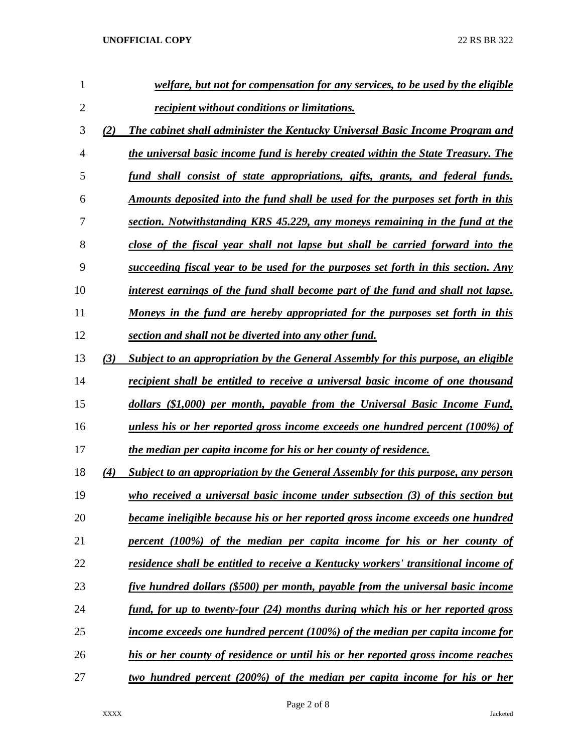| 1              |     | welfare, but not for compensation for any services, to be used by the eligible          |
|----------------|-----|-----------------------------------------------------------------------------------------|
| $\overline{2}$ |     | recipient without conditions or limitations.                                            |
| 3              | (2) | The cabinet shall administer the Kentucky Universal Basic Income Program and            |
| 4              |     | the universal basic income fund is hereby created within the State Treasury. The        |
| 5              |     | fund shall consist of state appropriations, gifts, grants, and federal funds.           |
| 6              |     | Amounts deposited into the fund shall be used for the purposes set forth in this        |
| 7              |     | section. Notwithstanding KRS 45.229, any moneys remaining in the fund at the            |
| 8              |     | close of the fiscal year shall not lapse but shall be carried forward into the          |
| 9              |     | succeeding fiscal year to be used for the purposes set forth in this section. Any       |
| 10             |     | interest earnings of the fund shall become part of the fund and shall not lapse.        |
| 11             |     | Moneys in the fund are hereby appropriated for the purposes set forth in this           |
| 12             |     | section and shall not be diverted into any other fund.                                  |
| 13             | (3) | Subject to an appropriation by the General Assembly for this purpose, an eligible       |
| 14             |     | recipient shall be entitled to receive a universal basic income of one thousand         |
| 15             |     | dollars (\$1,000) per month, payable from the Universal Basic Income Fund,              |
| 16             |     | unless his or her reported gross income exceeds one hundred percent (100%) of           |
| 17             |     | the median per capita income for his or her county of residence.                        |
| 18             | (4) | Subject to an appropriation by the General Assembly for this purpose, any person        |
| 19             |     | who received a universal basic income under subsection (3) of this section but          |
| 20             |     | <u>became ineligible because his or her reported gross income exceeds one hundred</u>   |
| 21             |     | percent (100%) of the median per capita income for his or her county of                 |
| 22             |     | residence shall be entitled to receive a Kentucky workers' transitional income of       |
| 23             |     | five hundred dollars (\$500) per month, payable from the universal basic income         |
| 24             |     | fund, for up to twenty-four (24) months during which his or her reported gross          |
| 25             |     | <u>income exceeds one hundred percent (100%) of the median per capita income for</u>    |
| 26             |     | <u>his or her county of residence or until his or her reported gross income reaches</u> |
| 27             |     | two hundred percent (200%) of the median per capita income for his or her               |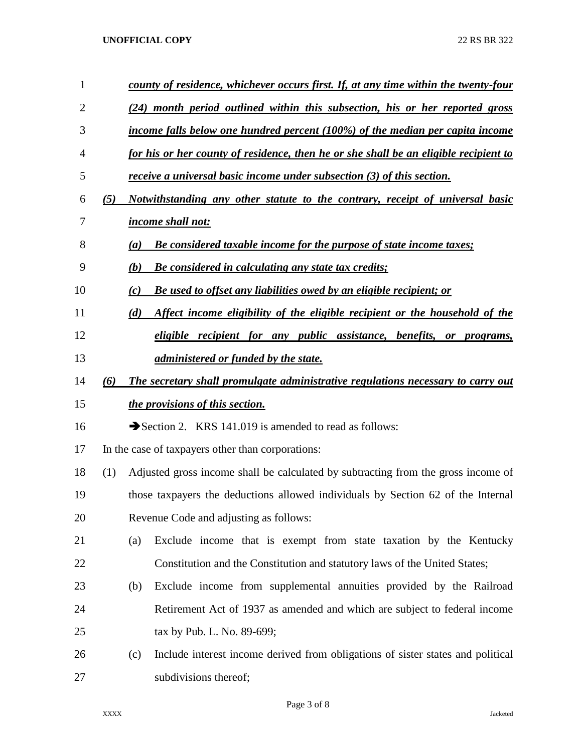| $\mathbf{1}$ |     | county of residence, whichever occurs first. If, at any time within the twenty-four |                                                                                      |  |  |  |  |  |  |
|--------------|-----|-------------------------------------------------------------------------------------|--------------------------------------------------------------------------------------|--|--|--|--|--|--|
| 2            |     |                                                                                     | (24) month period outlined within this subsection, his or her reported gross         |  |  |  |  |  |  |
| 3            |     |                                                                                     | income falls below one hundred percent (100%) of the median per capita income        |  |  |  |  |  |  |
| 4            |     |                                                                                     | for his or her county of residence, then he or she shall be an eligible recipient to |  |  |  |  |  |  |
| 5            |     |                                                                                     | <i>receive a universal basic income under subsection (3) of this section.</i>        |  |  |  |  |  |  |
| 6            | (5) |                                                                                     | <u>Notwithstanding any other statute to the contrary, receipt of universal basic</u> |  |  |  |  |  |  |
| 7            |     |                                                                                     | <i>income shall not:</i>                                                             |  |  |  |  |  |  |
| 8            |     | (a)                                                                                 | <b>Be considered taxable income for the purpose of state income taxes;</b>           |  |  |  |  |  |  |
| 9            |     | (b)                                                                                 | <b>Be considered in calculating any state tax credits;</b>                           |  |  |  |  |  |  |
| 10           |     | (c)                                                                                 | Be used to offset any liabilities owed by an eligible recipient; or                  |  |  |  |  |  |  |
| 11           |     | (d)                                                                                 | Affect income eligibility of the eligible recipient or the household of the          |  |  |  |  |  |  |
| 12           |     |                                                                                     | eligible recipient for any public assistance, benefits, or programs,                 |  |  |  |  |  |  |
| 13           |     |                                                                                     | <i>administered or funded by the state.</i>                                          |  |  |  |  |  |  |
| 14           | (6) |                                                                                     | The secretary shall promulgate administrative regulations necessary to carry out     |  |  |  |  |  |  |
| 15           |     |                                                                                     | <i>the provisions of this section.</i>                                               |  |  |  |  |  |  |
| 16           |     |                                                                                     | Section 2. KRS 141.019 is amended to read as follows:                                |  |  |  |  |  |  |
| 17           |     |                                                                                     | In the case of taxpayers other than corporations:                                    |  |  |  |  |  |  |
| 18           | (1) |                                                                                     | Adjusted gross income shall be calculated by subtracting from the gross income of    |  |  |  |  |  |  |
| 19           |     | those taxpayers the deductions allowed individuals by Section 62 of the Internal    |                                                                                      |  |  |  |  |  |  |
| 20           |     | Revenue Code and adjusting as follows:                                              |                                                                                      |  |  |  |  |  |  |
| 21           |     | (a)                                                                                 | Exclude income that is exempt from state taxation by the Kentucky                    |  |  |  |  |  |  |
| 22           |     |                                                                                     | Constitution and the Constitution and statutory laws of the United States;           |  |  |  |  |  |  |
| 23           |     | (b)                                                                                 | Exclude income from supplemental annuities provided by the Railroad                  |  |  |  |  |  |  |
| 24           |     |                                                                                     | Retirement Act of 1937 as amended and which are subject to federal income            |  |  |  |  |  |  |
| 25           |     |                                                                                     | tax by Pub. L. No. 89-699;                                                           |  |  |  |  |  |  |
| 26           |     | (c)                                                                                 | Include interest income derived from obligations of sister states and political      |  |  |  |  |  |  |
| 27           |     |                                                                                     | subdivisions thereof;                                                                |  |  |  |  |  |  |

Page 3 of 8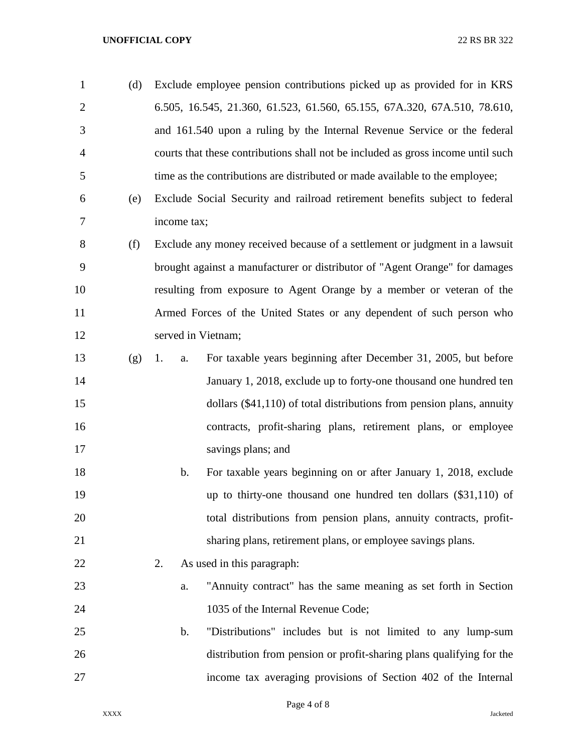| $\mathbf{1}$   | (d) |             |       | Exclude employee pension contributions picked up as provided for in KRS          |
|----------------|-----|-------------|-------|----------------------------------------------------------------------------------|
| $\overline{2}$ |     |             |       | 6.505, 16.545, 21.360, 61.523, 61.560, 65.155, 67A.320, 67A.510, 78.610,         |
| 3              |     |             |       | and 161.540 upon a ruling by the Internal Revenue Service or the federal         |
| 4              |     |             |       | courts that these contributions shall not be included as gross income until such |
| 5              |     |             |       | time as the contributions are distributed or made available to the employee;     |
| 6              | (e) |             |       | Exclude Social Security and railroad retirement benefits subject to federal      |
| 7              |     | income tax; |       |                                                                                  |
| 8              | (f) |             |       | Exclude any money received because of a settlement or judgment in a lawsuit      |
| 9              |     |             |       | brought against a manufacturer or distributor of "Agent Orange" for damages      |
| 10             |     |             |       | resulting from exposure to Agent Orange by a member or veteran of the            |
| 11             |     |             |       | Armed Forces of the United States or any dependent of such person who            |
| 12             |     |             |       | served in Vietnam;                                                               |
| 13             | (g) | 1.          | a.    | For taxable years beginning after December 31, 2005, but before                  |
| 14             |     |             |       | January 1, 2018, exclude up to forty-one thousand one hundred ten                |
| 15             |     |             |       | dollars $(\$41,110)$ of total distributions from pension plans, annuity          |
| 16             |     |             |       | contracts, profit-sharing plans, retirement plans, or employee                   |
| 17             |     |             |       | savings plans; and                                                               |
| 18             |     |             | $b$ . | For taxable years beginning on or after January 1, 2018, exclude                 |
| 19             |     |             |       | up to thirty-one thousand one hundred ten dollars $(\$31,110)$ of                |
| 20             |     |             |       | total distributions from pension plans, annuity contracts, profit-               |
| 21             |     |             |       | sharing plans, retirement plans, or employee savings plans.                      |
| 22             |     | 2.          |       | As used in this paragraph:                                                       |
| 23             |     |             | a.    | "Annuity contract" has the same meaning as set forth in Section                  |
| 24             |     |             |       | 1035 of the Internal Revenue Code;                                               |
| 25             |     |             | b.    | "Distributions" includes but is not limited to any lump-sum                      |
| 26             |     |             |       | distribution from pension or profit-sharing plans qualifying for the             |
| 27             |     |             |       | income tax averaging provisions of Section 402 of the Internal                   |
|                |     |             |       |                                                                                  |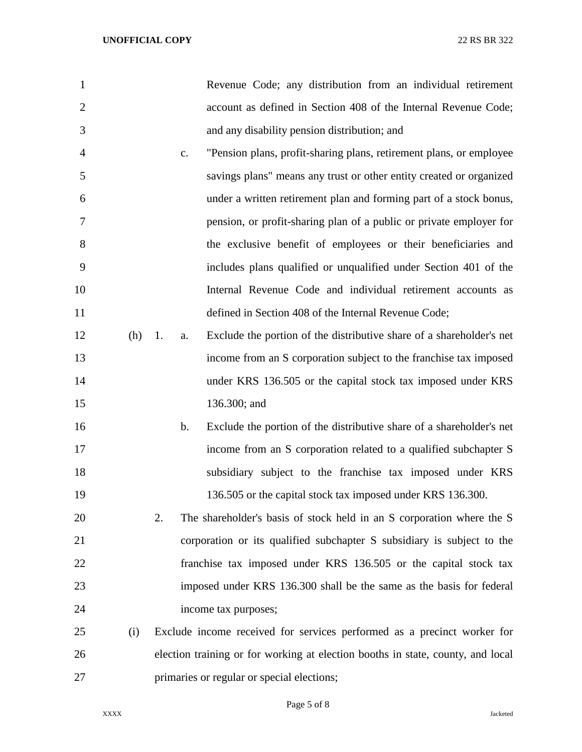- Revenue Code; any distribution from an individual retirement account as defined in Section 408 of the Internal Revenue Code; and any disability pension distribution; and
- c. "Pension plans, profit-sharing plans, retirement plans, or employee savings plans" means any trust or other entity created or organized under a written retirement plan and forming part of a stock bonus, pension, or profit-sharing plan of a public or private employer for the exclusive benefit of employees or their beneficiaries and includes plans qualified or unqualified under Section 401 of the Internal Revenue Code and individual retirement accounts as defined in Section 408 of the Internal Revenue Code;
- (h) 1. a. Exclude the portion of the distributive share of a shareholder's net income from an S corporation subject to the franchise tax imposed under KRS 136.505 or the capital stock tax imposed under KRS 136.300; and
- b. Exclude the portion of the distributive share of a shareholder's net income from an S corporation related to a qualified subchapter S subsidiary subject to the franchise tax imposed under KRS 19 136.505 or the capital stock tax imposed under KRS 136.300.
- 2. The shareholder's basis of stock held in an S corporation where the S corporation or its qualified subchapter S subsidiary is subject to the franchise tax imposed under KRS 136.505 or the capital stock tax imposed under KRS 136.300 shall be the same as the basis for federal income tax purposes;
- (i) Exclude income received for services performed as a precinct worker for election training or for working at election booths in state, county, and local primaries or regular or special elections;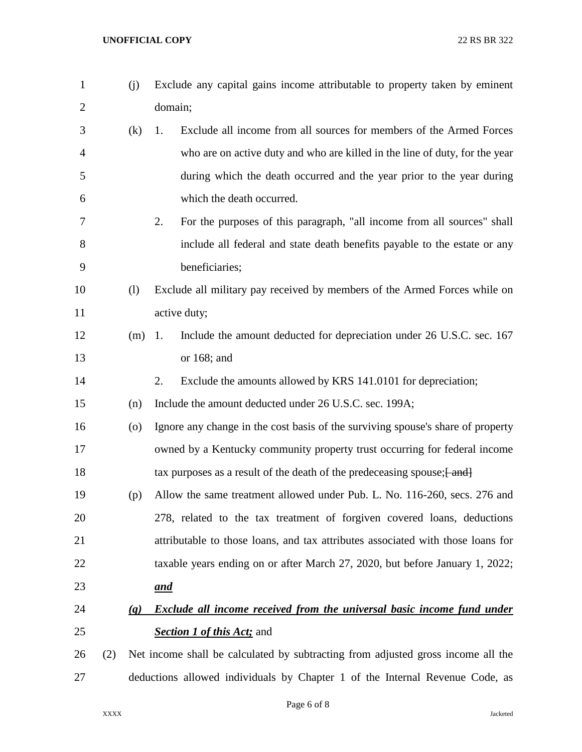| $\mathbf{1}$   |     | (j)                                                                          | Exclude any capital gains income attributable to property taken by eminent       |  |  |  |
|----------------|-----|------------------------------------------------------------------------------|----------------------------------------------------------------------------------|--|--|--|
| $\overline{2}$ |     |                                                                              | domain;                                                                          |  |  |  |
| 3              |     | (k)                                                                          | Exclude all income from all sources for members of the Armed Forces<br>1.        |  |  |  |
| $\overline{4}$ |     |                                                                              | who are on active duty and who are killed in the line of duty, for the year      |  |  |  |
| 5              |     |                                                                              | during which the death occurred and the year prior to the year during            |  |  |  |
| 6              |     |                                                                              | which the death occurred.                                                        |  |  |  |
| 7              |     |                                                                              | For the purposes of this paragraph, "all income from all sources" shall<br>2.    |  |  |  |
| 8              |     |                                                                              | include all federal and state death benefits payable to the estate or any        |  |  |  |
| 9              |     |                                                                              | beneficiaries;                                                                   |  |  |  |
| 10             |     | (1)                                                                          | Exclude all military pay received by members of the Armed Forces while on        |  |  |  |
| 11             |     |                                                                              | active duty;                                                                     |  |  |  |
| 12             |     | $(m)$ 1.                                                                     | Include the amount deducted for depreciation under 26 U.S.C. sec. 167            |  |  |  |
| 13             |     |                                                                              | or $168$ ; and                                                                   |  |  |  |
| 14             |     |                                                                              | Exclude the amounts allowed by KRS 141.0101 for depreciation;<br>2.              |  |  |  |
| 15             |     | (n)                                                                          | Include the amount deducted under 26 U.S.C. sec. 199A;                           |  |  |  |
| 16             |     | $\left( 0 \right)$                                                           | Ignore any change in the cost basis of the surviving spouse's share of property  |  |  |  |
| 17             |     |                                                                              | owned by a Kentucky community property trust occurring for federal income        |  |  |  |
| 18             |     |                                                                              | tax purposes as a result of the death of the predeceasing spouse; [ and]         |  |  |  |
| 19             |     | (p)                                                                          | Allow the same treatment allowed under Pub. L. No. 116-260, secs. 276 and        |  |  |  |
| 20             |     |                                                                              | 278, related to the tax treatment of forgiven covered loans, deductions          |  |  |  |
| 21             |     |                                                                              | attributable to those loans, and tax attributes associated with those loans for  |  |  |  |
| 22             |     |                                                                              | taxable years ending on or after March 27, 2020, but before January 1, 2022;     |  |  |  |
| 23             |     |                                                                              | <u>and</u>                                                                       |  |  |  |
| 24             |     | (q)                                                                          | <b>Exclude all income received from the universal basic income fund under</b>    |  |  |  |
| 25             |     |                                                                              | <b>Section 1 of this Act; and</b>                                                |  |  |  |
| 26             | (2) |                                                                              | Net income shall be calculated by subtracting from adjusted gross income all the |  |  |  |
| 27             |     | deductions allowed individuals by Chapter 1 of the Internal Revenue Code, as |                                                                                  |  |  |  |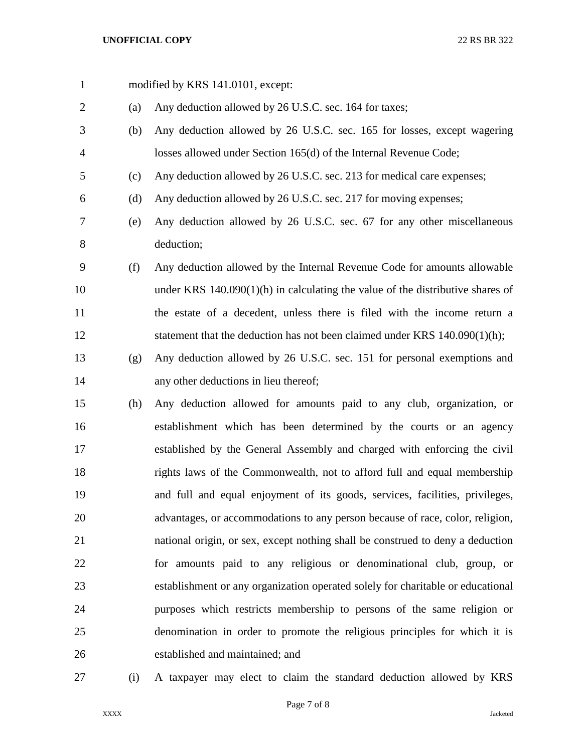- 1 modified by KRS 141.0101, except: (a) Any deduction allowed by 26 U.S.C. sec. 164 for taxes; (b) Any deduction allowed by 26 U.S.C. sec. 165 for losses, except wagering losses allowed under Section 165(d) of the Internal Revenue Code; (c) Any deduction allowed by 26 U.S.C. sec. 213 for medical care expenses; (d) Any deduction allowed by 26 U.S.C. sec. 217 for moving expenses; (e) Any deduction allowed by 26 U.S.C. sec. 67 for any other miscellaneous deduction; (f) Any deduction allowed by the Internal Revenue Code for amounts allowable under KRS 140.090(1)(h) in calculating the value of the distributive shares of the estate of a decedent, unless there is filed with the income return a 12 statement that the deduction has not been claimed under KRS 140.090(1)(h); (g) Any deduction allowed by 26 U.S.C. sec. 151 for personal exemptions and any other deductions in lieu thereof; (h) Any deduction allowed for amounts paid to any club, organization, or establishment which has been determined by the courts or an agency established by the General Assembly and charged with enforcing the civil rights laws of the Commonwealth, not to afford full and equal membership and full and equal enjoyment of its goods, services, facilities, privileges, advantages, or accommodations to any person because of race, color, religion, national origin, or sex, except nothing shall be construed to deny a deduction for amounts paid to any religious or denominational club, group, or establishment or any organization operated solely for charitable or educational purposes which restricts membership to persons of the same religion or denomination in order to promote the religious principles for which it is established and maintained; and
- 

(i) A taxpayer may elect to claim the standard deduction allowed by KRS